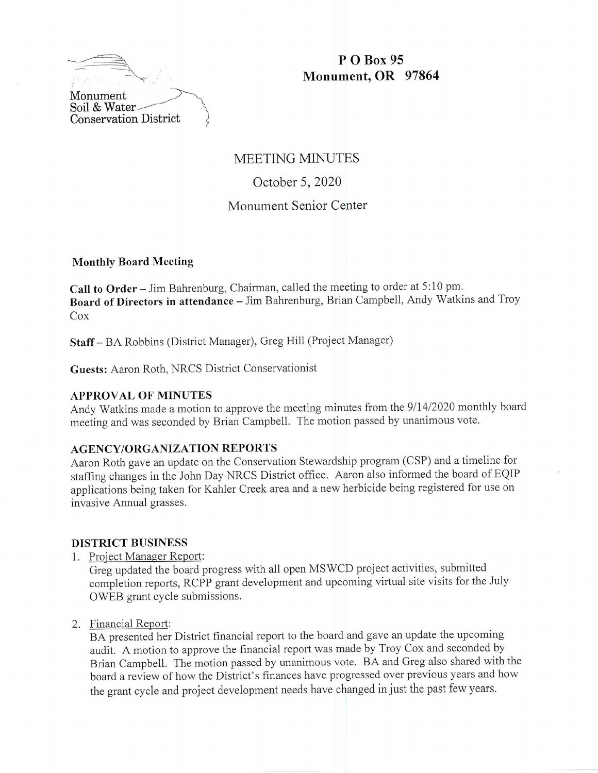Monument  $S$ oil & Water Conservation District

# PO Box 95 Monument, OR 97864

# MEETING MINUTES

October 5, 2020

# Monument Senior Center

# Monthly Board Meeting

Call to Order - Jim Bahrenburg, Chairman, called the meeting to order at 5:10 pm. Board of Directors in attendance - Jim Bahrenburg, Brian Campbell, Andy Watkins and Troy Cox

Staff - BA Robbins (District Manager), Greg Hill (Project Manager)

Guests: Aaron Roth, NRCS District Conservationist

# APPROVAL OF MINUTES

Andy Watkins made a motion to approve the meeting minutes from the 9/14/2020 monthly board meeting and was seconded by Brian Campbell. The motion passed by unanimous vote.

# AGENCY/ORGANIZATION REPORTS

Aaron Roth gave an update on the Conservation Stewardship progran (CSP) and a timeline for staffing changes in the John Day NRCS District office. Aaron also informed the board of EQIP applications being taken for Kahler Creek area and a new herbicide being registered for use on invasive Amual grasses.

# DISTRICT BUSINESS

1. Project Manager Report:

Greg updated the board progress with all open MSWCD project activities, submitted completion reports, RCPP grant development and upcoming virtual site visits for the July OWEB grant cycle submissions.

2. Financial Report:

BA presented her District financial report to the board and gave an update the upcoming audit. A motion to approve the financial report was made by Troy Cox and seconded by Brian Campbell. The motion passed by unanimous vote. BA and Greg also shared with the board a review of how the District's finances have progressed over previous years and how the grant cycle and project development needs have changed in just the past few years.